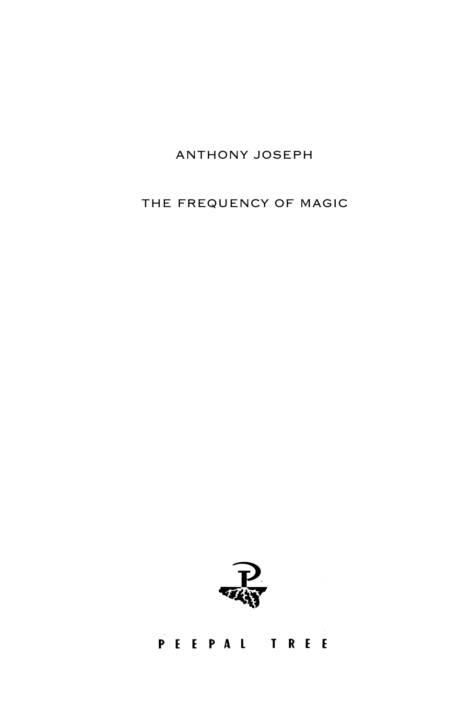## ANTHONY JOSEPH

THE FREQUENCY OF MAGIC

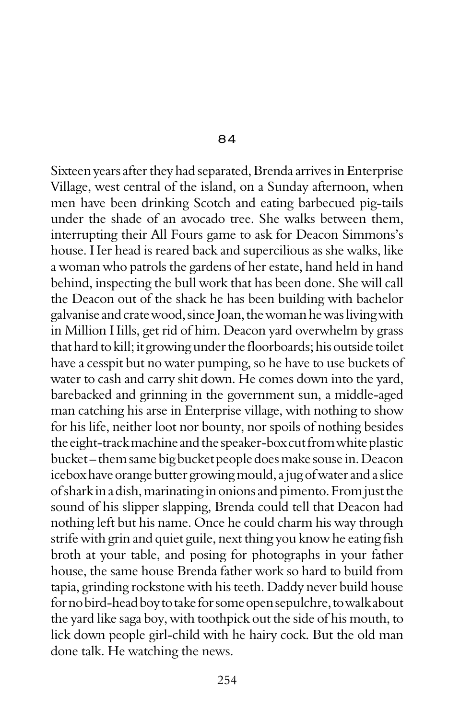84

Sixteen years after they had separated, Brenda arrives in Enterprise Village, west central of the island, on a Sunday afternoon, when men have been drinking Scotch and eating barbecued pig-tails under the shade of an avocado tree. She walks between them, interrupting their All Fours game to ask for Deacon Simmons's house. Her head is reared back and supercilious as she walks, like a woman who patrols the gardens of her estate, hand held in hand behind, inspecting the bull work that has been done. She will call the Deacon out of the shack he has been building with bachelor galvanise and crate wood, since Joan, the woman he was living with in Million Hills, get rid of him. Deacon yard overwhelm by grass that hard to kill; it growing under the floorboards; his outside toilet have a cesspit but no water pumping, so he have to use buckets of water to cash and carry shit down. He comes down into the yard, barebacked and grinning in the government sun, a middle-aged man catching his arse in Enterprise village, with nothing to show for his life, neither loot nor bounty, nor spoils of nothing besides the eight-track machine and the speaker-box cut from white plastic bucket – them same big bucket people does make souse in. Deacon icebox have orange butter growing mould, a jug of water and a slice of shark in a dish, marinating in onions and pimento. From just the sound of his slipper slapping, Brenda could tell that Deacon had nothing left but his name. Once he could charm his way through strife with grin and quiet guile, next thing you know he eating fish broth at your table, and posing for photographs in your father house, the same house Brenda father work so hard to build from tapia, grinding rockstone with his teeth. Daddy never build house for no bird-head boy to take for some open sepulchre, to walk about the yard like saga boy, with toothpick out the side of his mouth, to lick down people girl-child with he hairy cock. But the old man done talk. He watching the news.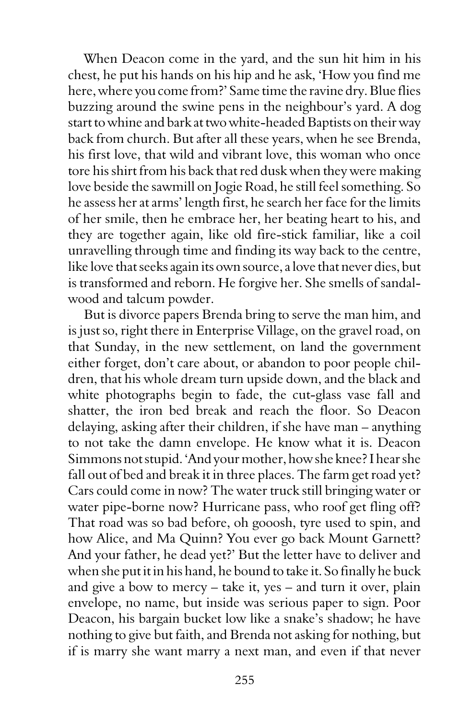When Deacon come in the yard, and the sun hit him in his chest, he put his hands on his hip and he ask, 'How you find me here, where you come from?' Same time the ravine dry. Blue flies buzzing around the swine pens in the neighbour's yard. A dog start to whine and bark at two white-headed Baptists on their way back from church. But after all these years, when he see Brenda, his first love, that wild and vibrant love, this woman who once tore his shirt from his back that red dusk when they were making love beside the sawmill on Jogie Road, he still feel something. So he assess her at arms' length first, he search her face for the limits of her smile, then he embrace her, her beating heart to his, and they are together again, like old fire-stick familiar, like a coil unravelling through time and finding its way back to the centre, like love that seeks again its own source, a love that never dies, but is transformed and reborn. He forgive her. She smells of sandalwood and talcum powder.

But is divorce papers Brenda bring to serve the man him, and is just so, right there in Enterprise Village, on the gravel road, on that Sunday, in the new settlement, on land the government either forget, don't care about, or abandon to poor people children, that his whole dream turn upside down, and the black and white photographs begin to fade, the cut-glass vase fall and shatter, the iron bed break and reach the floor. So Deacon delaying, asking after their children, if she have man – anything to not take the damn envelope. He know what it is. Deacon Simmons not stupid. 'And your mother, how she knee? I hear she fall out of bed and break it in three places. The farm get road yet? Cars could come in now? The water truck still bringing water or water pipe-borne now? Hurricane pass, who roof get fling off? That road was so bad before, oh gooosh, tyre used to spin, and how Alice, and Ma Quinn? You ever go back Mount Garnett? And your father, he dead yet?' But the letter have to deliver and when she put it in his hand, he bound to take it. So finally he buck and give a bow to mercy – take it, yes – and turn it over, plain envelope, no name, but inside was serious paper to sign. Poor Deacon, his bargain bucket low like a snake's shadow; he have nothing to give but faith, and Brenda not asking for nothing, but if is marry she want marry a next man, and even if that never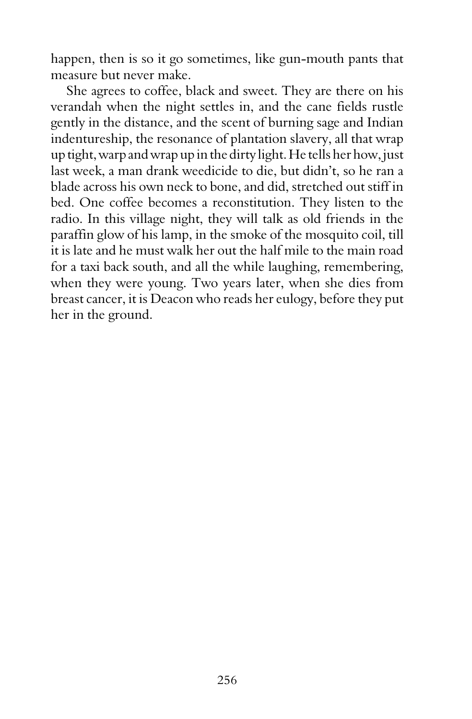happen, then is so it go sometimes, like gun-mouth pants that measure but never make.

She agrees to coffee, black and sweet. They are there on his verandah when the night settles in, and the cane fields rustle gently in the distance, and the scent of burning sage and Indian indentureship, the resonance of plantation slavery, all that wrap up tight, warp and wrap up in the dirty light. He tells her how, just last week, a man drank weedicide to die, but didn't, so he ran a blade across his own neck to bone, and did, stretched out stiff in bed. One coffee becomes a reconstitution. They listen to the radio. In this village night, they will talk as old friends in the paraffin glow of his lamp, in the smoke of the mosquito coil, till it is late and he must walk her out the half mile to the main road for a taxi back south, and all the while laughing, remembering, when they were young. Two years later, when she dies from breast cancer, it is Deacon who reads her eulogy, before they put her in the ground.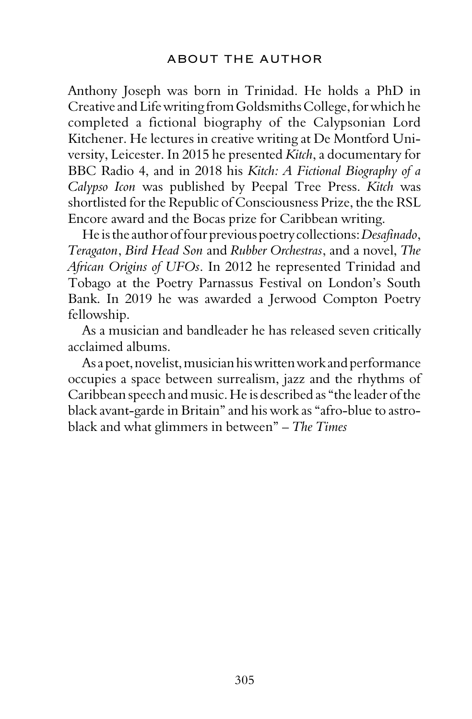Anthony Joseph was born in Trinidad. He holds a PhD in Creative and Life writing from Goldsmiths College, for which he completed a fictional biography of the Calypsonian Lord Kitchener. He lectures in creative writing at De Montford University, Leicester. In 2015 he presented *Kitch*, a documentary for BBC Radio 4, and in 2018 his *Kitch: A Fictional Biography of a Calypso Icon* was published by Peepal Tree Press. *Kitch* was shortlisted for the Republic of Consciousness Prize, the the RSL Encore award and the Bocas prize for Caribbean writing.

He is the author of four previous poetry collections: *Desafinado*, *Teragaton*, *Bird Head Son* and *Rubber Orchestras*, and a novel, *The African Origins of UFOs*. In 2012 he represented Trinidad and Tobago at the Poetry Parnassus Festival on London's South Bank. In 2019 he was awarded a Jerwood Compton Poetry fellowship.

As a musician and bandleader he has released seven critically acclaimed albums.

As a poet, novelist, musician his written work and performance occupies a space between surrealism, jazz and the rhythms of Caribbean speech and music. He is described as "the leader of the black avant-garde in Britain" and his work as "afro-blue to astroblack and what glimmers in between" – *The Times*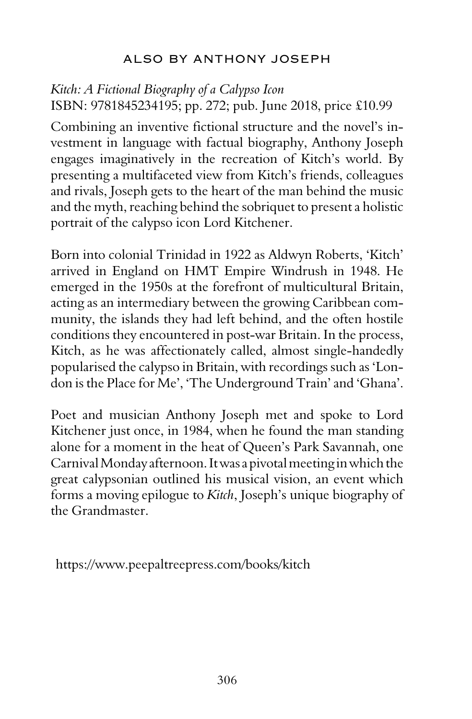## ALSO BY ANTHONY JOSEPH

## *Kitch: A Fictional Biography of a Calypso Icon* ISBN: 9781845234195; pp. 272; pub. June 2018, price £10.99

Combining an inventive fictional structure and the novel's investment in language with factual biography, Anthony Joseph engages imaginatively in the recreation of Kitch's world. By presenting a multifaceted view from Kitch's friends, colleagues and rivals, Joseph gets to the heart of the man behind the music and the myth, reaching behind the sobriquet to present a holistic portrait of the calypso icon Lord Kitchener.

Born into colonial Trinidad in 1922 as Aldwyn Roberts, 'Kitch' arrived in England on HMT Empire Windrush in 1948. He emerged in the 1950s at the forefront of multicultural Britain, acting as an intermediary between the growing Caribbean community, the islands they had left behind, and the often hostile conditions they encountered in post-war Britain. In the process, Kitch, as he was affectionately called, almost single-handedly popularised the calypso in Britain, with recordings such as 'London is the Place for Me', 'The Underground Train' and 'Ghana'.

Poet and musician Anthony Joseph met and spoke to Lord Kitchener just once, in 1984, when he found the man standing alone for a moment in the heat of Queen's Park Savannah, one Carnival Monday afternoon. It was a pivotal meeting in which the great calypsonian outlined his musical vision, an event which forms a moving epilogue to *Kitch*, Joseph's unique biography of the Grandmaster.

https://www.peepaltreepress.com/books/kitch